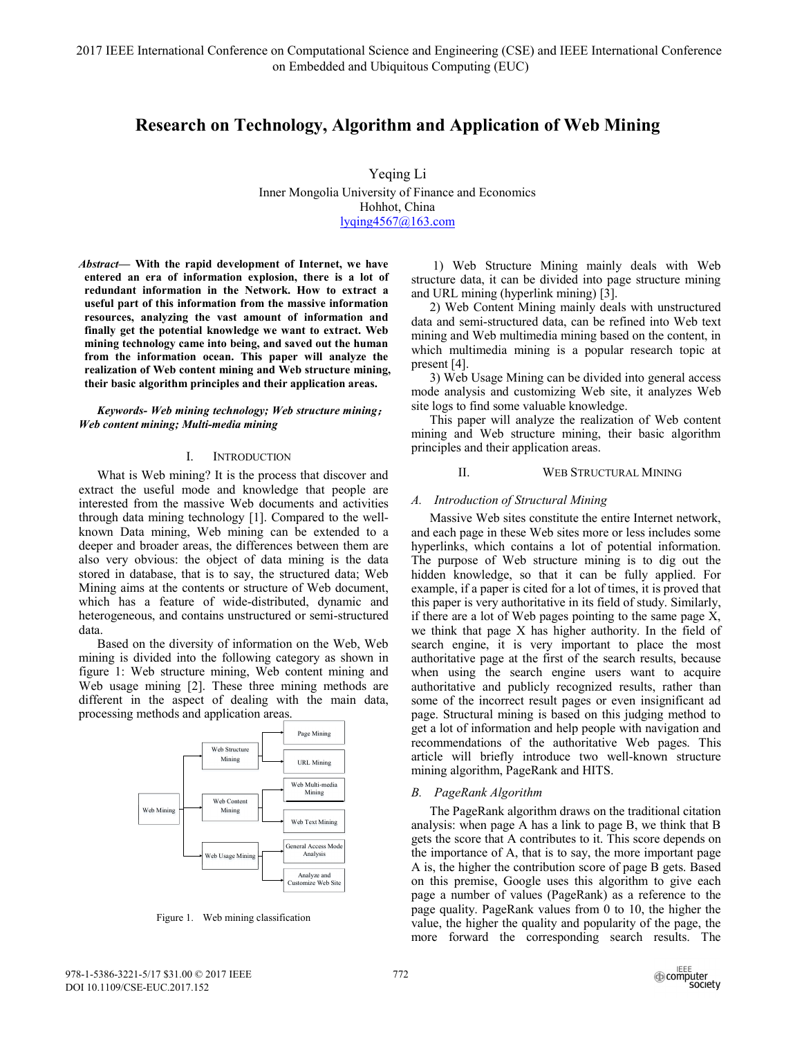# **Research on Technology, Algorithm and Application of Web Mining**

Yeqing Li

Inner Mongolia University of Finance and Economics Hohhot, China lyqing4567@163.com

*Abstract***— With the rapid development of Internet, we have entered an era of information explosion, there is a lot of redundant information in the Network. How to extract a useful part of this information from the massive information resources, analyzing the vast amount of information and finally get the potential knowledge we want to extract. Web mining technology came into being, and saved out the human from the information ocean. This paper will analyze the realization of Web content mining and Web structure mining, their basic algorithm principles and their application areas.** 

#### Keywords- Web mining technology; Web structure mining; *Web content mining; Multi-media mining*

#### I. INTRODUCTION

What is Web mining? It is the process that discover and extract the useful mode and knowledge that people are interested from the massive Web documents and activities through data mining technology [1]. Compared to the wellknown Data mining, Web mining can be extended to a deeper and broader areas, the differences between them are also very obvious: the object of data mining is the data stored in database, that is to say, the structured data; Web Mining aims at the contents or structure of Web document, which has a feature of wide-distributed, dynamic and heterogeneous, and contains unstructured or semi-structured data.

Based on the diversity of information on the Web, Web mining is divided into the following category as shown in figure 1: Web structure mining, Web content mining and Web usage mining [2]. These three mining methods are different in the aspect of dealing with the main data, processing methods and application areas.



Figure 1. Web mining classification

 1) Web Structure Mining mainly deals with Web structure data, it can be divided into page structure mining and URL mining (hyperlink mining) [3].

2) Web Content Mining mainly deals with unstructured data and semi-structured data, can be refined into Web text mining and Web multimedia mining based on the content, in which multimedia mining is a popular research topic at present [4].

3) Web Usage Mining can be divided into general access mode analysis and customizing Web site, it analyzes Web site logs to find some valuable knowledge.

This paper will analyze the realization of Web content mining and Web structure mining, their basic algorithm principles and their application areas.

#### II. WEB STRUCTURAL MINING

## *A. Introduction of Structural Mining*

Massive Web sites constitute the entire Internet network, and each page in these Web sites more or less includes some hyperlinks, which contains a lot of potential information. The purpose of Web structure mining is to dig out the hidden knowledge, so that it can be fully applied. For example, if a paper is cited for a lot of times, it is proved that this paper is very authoritative in its field of study. Similarly, if there are a lot of Web pages pointing to the same page X, we think that page X has higher authority. In the field of search engine, it is very important to place the most authoritative page at the first of the search results, because when using the search engine users want to acquire authoritative and publicly recognized results, rather than some of the incorrect result pages or even insignificant ad page. Structural mining is based on this judging method to get a lot of information and help people with navigation and recommendations of the authoritative Web pages. This article will briefly introduce two well-known structure mining algorithm, PageRank and HITS.

## *B. PageRank Algorithm*

The PageRank algorithm draws on the traditional citation analysis: when page A has a link to page B, we think that B gets the score that A contributes to it. This score depends on the importance of A, that is to say, the more important page A is, the higher the contribution score of page B gets. Based on this premise, Google uses this algorithm to give each page a number of values (PageRank) as a reference to the page quality. PageRank values from 0 to 10, the higher the value, the higher the quality and popularity of the page, the more forward the corresponding search results. The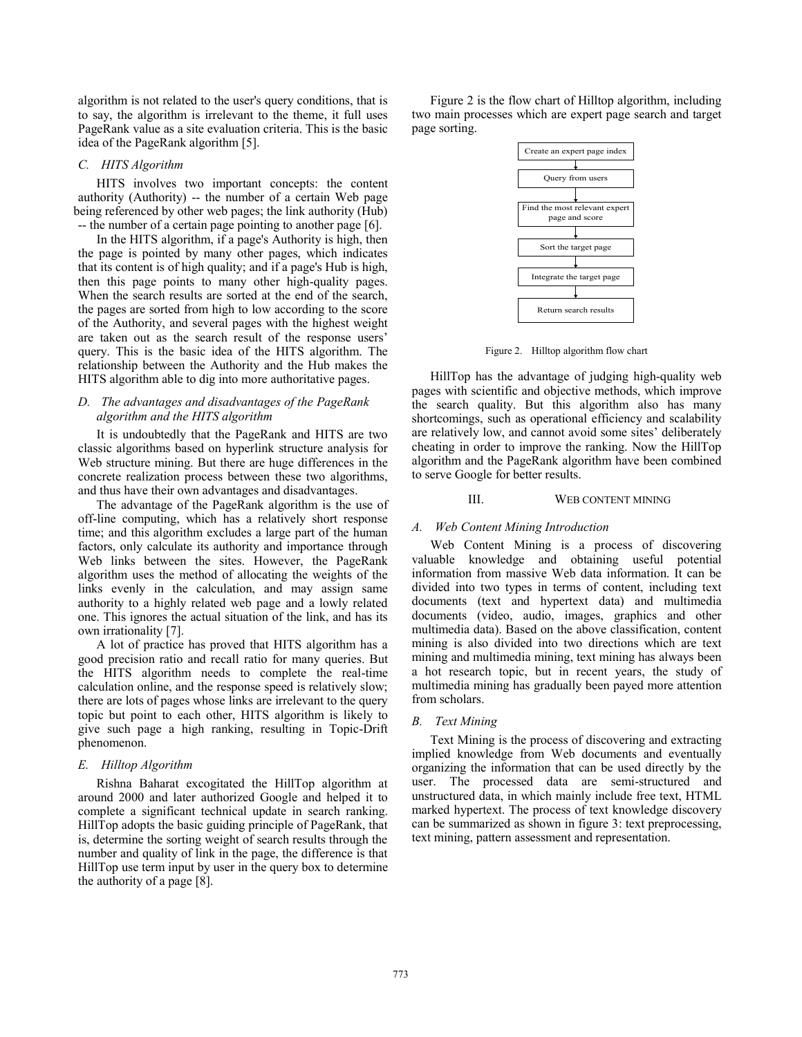algorithm is not related to the user's query conditions, that is to say, the algorithm is irrelevant to the theme, it full uses PageRank value as a site evaluation criteria. This is the basic idea of the PageRank algorithm [5].

## *C. HITS Algorithm*

HITS involves two important concepts: the content authority (Authority) -- the number of a certain Web page being referenced by other web pages; the link authority (Hub) -- the number of a certain page pointing to another page [6].

In the HITS algorithm, if a page's Authority is high, then the page is pointed by many other pages, which indicates that its content is of high quality; and if a page's Hub is high, then this page points to many other high-quality pages. When the search results are sorted at the end of the search, the pages are sorted from high to low according to the score of the Authority, and several pages with the highest weight are taken out as the search result of the response users' query. This is the basic idea of the HITS algorithm. The relationship between the Authority and the Hub makes the HITS algorithm able to dig into more authoritative pages.

## *D. The advantages and disadvantages of the PageRank algorithm and the HITS algorithm*

It is undoubtedly that the PageRank and HITS are two classic algorithms based on hyperlink structure analysis for Web structure mining. But there are huge differences in the concrete realization process between these two algorithms, and thus have their own advantages and disadvantages.

The advantage of the PageRank algorithm is the use of off-line computing, which has a relatively short response time; and this algorithm excludes a large part of the human factors, only calculate its authority and importance through Web links between the sites. However, the PageRank algorithm uses the method of allocating the weights of the links evenly in the calculation, and may assign same authority to a highly related web page and a lowly related one. This ignores the actual situation of the link, and has its own irrationality [7].

A lot of practice has proved that HITS algorithm has a good precision ratio and recall ratio for many queries. But the HITS algorithm needs to complete the real-time calculation online, and the response speed is relatively slow; there are lots of pages whose links are irrelevant to the query topic but point to each other, HITS algorithm is likely to give such page a high ranking, resulting in Topic-Drift phenomenon.

## *E. Hilltop Algorithm*

Rishna Baharat excogitated the HillTop algorithm at around 2000 and later authorized Google and helped it to complete a significant technical update in search ranking. HillTop adopts the basic guiding principle of PageRank, that is, determine the sorting weight of search results through the number and quality of link in the page, the difference is that HillTop use term input by user in the query box to determine the authority of a page [8].

Figure 2 is the flow chart of Hilltop algorithm, including two main processes which are expert page search and target page sorting.



Figure 2. Hilltop algorithm flow chart

HillTop has the advantage of judging high-quality web pages with scientific and objective methods, which improve the search quality. But this algorithm also has many shortcomings, such as operational efficiency and scalability are relatively low, and cannot avoid some sites' deliberately cheating in order to improve the ranking. Now the HillTop algorithm and the PageRank algorithm have been combined to serve Google for better results.

#### III. WEB CONTENT MINING

#### *A. Web Content Mining Introduction*

Web Content Mining is a process of discovering valuable knowledge and obtaining useful potential information from massive Web data information. It can be divided into two types in terms of content, including text documents (text and hypertext data) and multimedia documents (video, audio, images, graphics and other multimedia data). Based on the above classification, content mining is also divided into two directions which are text mining and multimedia mining, text mining has always been a hot research topic, but in recent years, the study of multimedia mining has gradually been payed more attention from scholars.

#### *B. Text Mining*

Text Mining is the process of discovering and extracting implied knowledge from Web documents and eventually organizing the information that can be used directly by the user. The processed data are semi-structured and unstructured data, in which mainly include free text, HTML marked hypertext. The process of text knowledge discovery can be summarized as shown in figure 3: text preprocessing, text mining, pattern assessment and representation.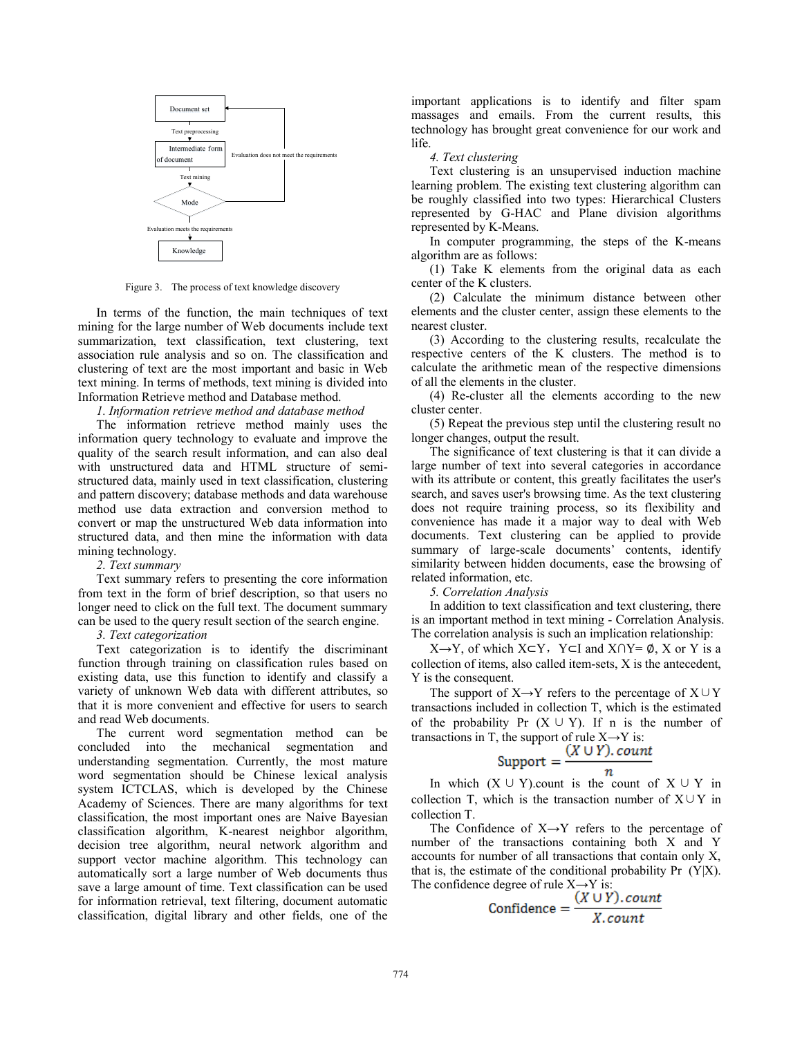

Figure 3. The process of text knowledge discovery

In terms of the function, the main techniques of text mining for the large number of Web documents include text summarization, text classification, text clustering, text association rule analysis and so on. The classification and clustering of text are the most important and basic in Web text mining. In terms of methods, text mining is divided into Information Retrieve method and Database method.

#### *1. Information retrieve method and database method*

The information retrieve method mainly uses the information query technology to evaluate and improve the quality of the search result information, and can also deal with unstructured data and HTML structure of semistructured data, mainly used in text classification, clustering and pattern discovery; database methods and data warehouse method use data extraction and conversion method to convert or map the unstructured Web data information into structured data, and then mine the information with data mining technology.

#### *2. Text summary*

Text summary refers to presenting the core information from text in the form of brief description, so that users no longer need to click on the full text. The document summary can be used to the query result section of the search engine.

#### *3. Text categorization*

Text categorization is to identify the discriminant function through training on classification rules based on existing data, use this function to identify and classify a variety of unknown Web data with different attributes, so that it is more convenient and effective for users to search and read Web documents.

The current word segmentation method can be concluded into the mechanical segmentation and understanding segmentation. Currently, the most mature word segmentation should be Chinese lexical analysis system ICTCLAS, which is developed by the Chinese Academy of Sciences. There are many algorithms for text classification, the most important ones are Naive Bayesian classification algorithm, K-nearest neighbor algorithm, decision tree algorithm, neural network algorithm and support vector machine algorithm. This technology can automatically sort a large number of Web documents thus save a large amount of time. Text classification can be used for information retrieval, text filtering, document automatic classification, digital library and other fields, one of the

important applications is to identify and filter spam massages and emails. From the current results, this technology has brought great convenience for our work and life.

## *4. Text clustering*

Text clustering is an unsupervised induction machine learning problem. The existing text clustering algorithm can be roughly classified into two types: Hierarchical Clusters represented by G-HAC and Plane division algorithms represented by K-Means.

In computer programming, the steps of the K-means algorithm are as follows:

(1) Take K elements from the original data as each center of the K clusters.

(2) Calculate the minimum distance between other elements and the cluster center, assign these elements to the nearest cluster.

(3) According to the clustering results, recalculate the respective centers of the K clusters. The method is to calculate the arithmetic mean of the respective dimensions of all the elements in the cluster.

(4) Re-cluster all the elements according to the new cluster center.

(5) Repeat the previous step until the clustering result no longer changes, output the result.

The significance of text clustering is that it can divide a large number of text into several categories in accordance with its attribute or content, this greatly facilitates the user's search, and saves user's browsing time. As the text clustering does not require training process, so its flexibility and convenience has made it a major way to deal with Web documents. Text clustering can be applied to provide summary of large-scale documents' contents, identify similarity between hidden documents, ease the browsing of related information, etc.

*5. Correlation Analysis*

In addition to text classification and text clustering, there is an important method in text mining - Correlation Analysis. The correlation analysis is such an implication relationship:

 $X \rightarrow Y$ , of which  $X \subset Y$ ,  $Y \subset I$  and  $X \cap Y = \emptyset$ , X or Y is a collection of items, also called item-sets, X is the antecedent, Y is the consequent.

The support of  $X \rightarrow Y$  refers to the percentage of  $X \cup Y$ transactions included in collection T, which is the estimated of the probability Pr  $(X \cup Y)$ . If n is the number of transactions in T, the support of rule  $X \rightarrow Y$  is:

$$
Support = \frac{(X \cup Y).count}{n}
$$

In which  $(X \cup Y)$ .count is the count of  $X \cup Y$  in collection T, which is the transaction number of  $X \cup Y$  in collection T.

The Confidence of  $X \rightarrow Y$  refers to the percentage of number of the transactions containing both X and Y accounts for number of all transactions that contain only X, that is, the estimate of the conditional probability  $Pr(Y|X)$ . The confidence degree of rule  $X \rightarrow Y$  is:

$$
Confidence = \frac{(X \cup Y).count}{X.count}
$$